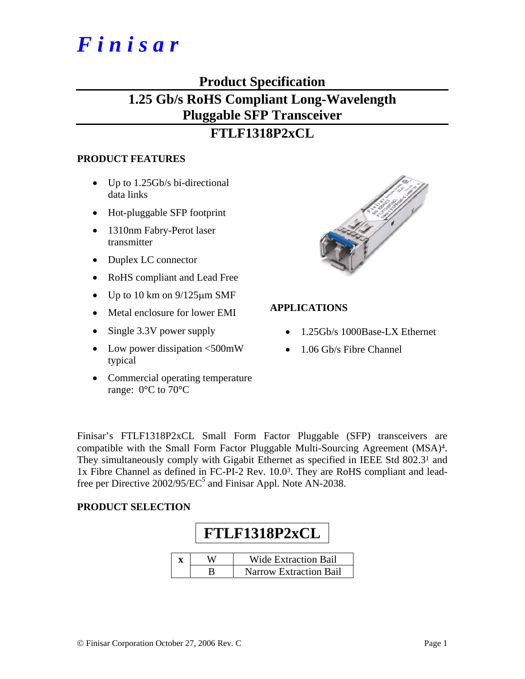# *F i n i s a r*

# **Product Specification**

# **1.25 Gb/s RoHS Compliant Long-Wavelength Pluggable SFP Transceiver**

# **FTLF1318P2xCL**

#### **PRODUCT FEATURES**

- Up to 1.25Gb/s bi-directional data links
- Hot-pluggable SFP footprint
- 1310nm Fabry-Perot laser transmitter
- Duplex LC connector
- RoHS compliant and Lead Free
- Up to 10 km on  $9/125 \mu m$  SMF
- Metal enclosure for lower EMI
- Single 3.3V power supply
- Low power dissipation <500mW typical
- Commercial operating temperature range: 0°C to 70°C



#### **APPLICATIONS**

- 1.25Gb/s 1000Base-LX Ethernet
- 1.06 Gb/s Fibre Channel

Finisar's FTLF1318P2xCL Small Form Factor Pluggable (SFP) transceivers are compatible with the Small Form Factor Pluggable Multi-Sourcing Agreement (MSA)4. They simultaneously comply with Gigabit Ethernet as specified in IEEE Std 802.31 and 1x Fibre Channel as defined in FC-PI-2 Rev. 10.03. They are RoHS compliant and leadfree per Directive  $2002/95/EC^5$  and Finisar Appl. Note AN-2038.

#### **PRODUCT SELECTION**

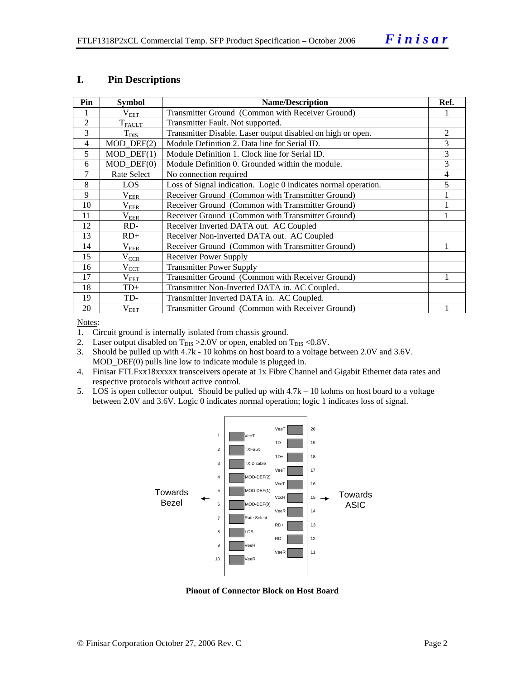#### **I. Pin Descriptions**

| Pin            | <b>Symbol</b>     | <b>Name/Description</b>                                        |   |  |  |
|----------------|-------------------|----------------------------------------------------------------|---|--|--|
|                | $\rm V_{EET}$     | Transmitter Ground (Common with Receiver Ground)               |   |  |  |
| $\overline{2}$ | $T_{FAULT}$       | Transmitter Fault. Not supported.                              |   |  |  |
| 3              | $T_{\text{DIS}}$  | Transmitter Disable. Laser output disabled on high or open.    | 2 |  |  |
| 4              | $MOD_$ DEF(2)     | Module Definition 2. Data line for Serial ID.                  | 3 |  |  |
| 5              | $MOD$ $DEF(1)$    | Module Definition 1. Clock line for Serial ID.                 | 3 |  |  |
| 6              | $MOD_$ DEF $(0)$  | Module Definition 0. Grounded within the module.               | 3 |  |  |
| 7              | Rate Select       | No connection required                                         | 4 |  |  |
| 8              | <b>LOS</b>        | Loss of Signal indication. Logic 0 indicates normal operation. | 5 |  |  |
| 9              | $\rm V_{EER}$     | Receiver Ground (Common with Transmitter Ground)               |   |  |  |
| 10             | $\rm V_{EER}$     | Receiver Ground (Common with Transmitter Ground)               |   |  |  |
| 11             | $\rm V_{\rm EER}$ | Receiver Ground (Common with Transmitter Ground)               |   |  |  |
| 12             | RD-               | Receiver Inverted DATA out. AC Coupled                         |   |  |  |
| 13             | $RD+$             | Receiver Non-inverted DATA out. AC Coupled                     |   |  |  |
| 14             | $\rm V_{EER}$     | Receiver Ground (Common with Transmitter Ground)               |   |  |  |
| 15             | $\rm V_{CCR}$     | <b>Receiver Power Supply</b>                                   |   |  |  |
| 16             | $V_{\text{CCT}}$  | <b>Transmitter Power Supply</b>                                |   |  |  |
| 17             | $\rm V_{EET}$     | Transmitter Ground (Common with Receiver Ground)               |   |  |  |
| 18             | $TD+$             | Transmitter Non-Inverted DATA in. AC Coupled.                  |   |  |  |
| 19             | TD-               | Transmitter Inverted DATA in. AC Coupled.                      |   |  |  |
| 20             | $\rm V_{EET}$     | Transmitter Ground (Common with Receiver Ground)               |   |  |  |

Notes:

1. Circuit ground is internally isolated from chassis ground.

2. Laser output disabled on  $T_{DIS} > 2.0V$  or open, enabled on  $T_{DIS} < 0.8V$ .

3. Should be pulled up with 4.7k - 10 kohms on host board to a voltage between 2.0V and 3.6V. MOD\_DEF(0) pulls line low to indicate module is plugged in.

- 4. Finisar FTLFxx18xxxxx transceivers operate at 1x Fibre Channel and Gigabit Ethernet data rates and respective protocols without active control.
- 5. LOS is open collector output. Should be pulled up with 4.7k 10 kohms on host board to a voltage between 2.0V and 3.6V. Logic 0 indicates normal operation; logic 1 indicates loss of signal.



**Pinout of Connector Block on Host Board**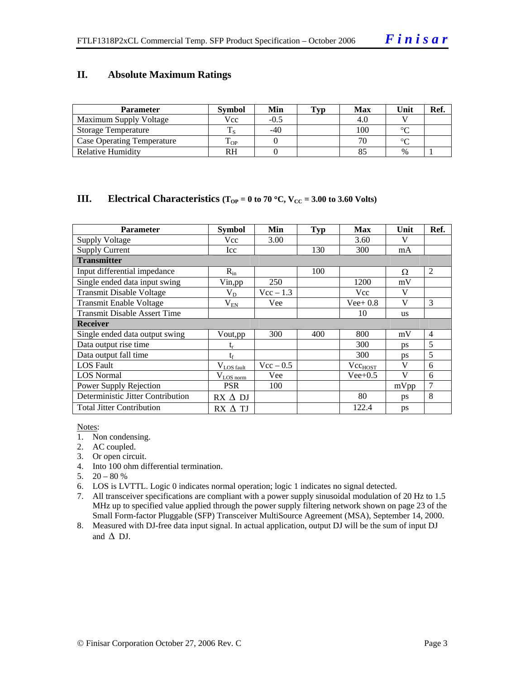#### **II. Absolute Maximum Ratings**

| <b>Parameter</b>                  | <b>Symbol</b> | Min    | Typ | Max | Unit          | Ref. |
|-----------------------------------|---------------|--------|-----|-----|---------------|------|
| Maximum Supply Voltage            | Vcc           | $-0.5$ |     | 4.U |               |      |
| <b>Storage Temperature</b>        |               | -40    |     | 100 | $\sim$        |      |
| <b>Case Operating Temperature</b> | - OP          |        |     |     | $\sim$        |      |
| Relative Humidity                 | RH            |        |     |     | $\frac{0}{0}$ |      |

#### **III.** Electrical Characteristics ( $T_{OP} = 0$  to 70 °C,  $V_{CC} = 3.00$  to 3.60 Volts)

| <b>Parameter</b>                    | <b>Symbol</b>    | Min         | Typ | <b>Max</b>   | Unit      | Ref.           |
|-------------------------------------|------------------|-------------|-----|--------------|-----------|----------------|
| <b>Supply Voltage</b>               | Vcc              | 3.00        |     | 3.60         | V         |                |
| <b>Supply Current</b>               | Icc              |             | 130 | 300          | mA        |                |
| <b>Transmitter</b>                  |                  |             |     |              |           |                |
| Input differential impedance        | $R_{in}$         |             | 100 |              | Ω         | 2              |
| Single ended data input swing       | Vin, pp          | 250         |     | 1200         | mV        |                |
| <b>Transmit Disable Voltage</b>     | $\rm V_{D}$      | $Vec - 1.3$ |     | Vcc          | V         |                |
| <b>Transmit Enable Voltage</b>      | $V_{EN}$         | Vee         |     | $Vee+0.8$    | V         | 3              |
| <b>Transmit Disable Assert Time</b> |                  |             |     | 10           | <b>us</b> |                |
| <b>Receiver</b>                     |                  |             |     |              |           |                |
| Single ended data output swing      | Vout, pp         | 300         | 400 | 800          | mV        | $\overline{4}$ |
| Data output rise time               | t,               |             |     | 300          | ps        | 5              |
| Data output fall time               | $t_{\rm f}$      |             |     | 300          | ps        | 5              |
| <b>LOS</b> Fault                    | $V_{LOS\_fault}$ | $Vec - 0.5$ |     | $Vec_{HOST}$ | V         | 6              |
| <b>LOS</b> Normal                   | $V_{LOS\,norm}$  | Vee         |     | $Vee+0.5$    | V         | 6              |
| Power Supply Rejection              | <b>PSR</b>       | 100         |     |              | mVpp      | 7              |
| Deterministic Jitter Contribution   | $RX \Delta DI$   |             |     | 80           | ps        | 8              |
| <b>Total Jitter Contribution</b>    | $RX \Delta TI$   |             |     | 122.4        | ps        |                |

Notes:

- 1. Non condensing.
- 2. AC coupled.
- 3. Or open circuit.
- 4. Into 100 ohm differential termination.
- 5.  $20 80 %$
- 6. LOS is LVTTL. Logic 0 indicates normal operation; logic 1 indicates no signal detected.
- 7. All transceiver specifications are compliant with a power supply sinusoidal modulation of 20 Hz to 1.5 MHz up to specified value applied through the power supply filtering network shown on page 23 of the Small Form-factor Pluggable (SFP) Transceiver MultiSource Agreement (MSA), September 14, 2000.
- 8. Measured with DJ-free data input signal. In actual application, output DJ will be the sum of input DJ and  $\triangle$  DJ.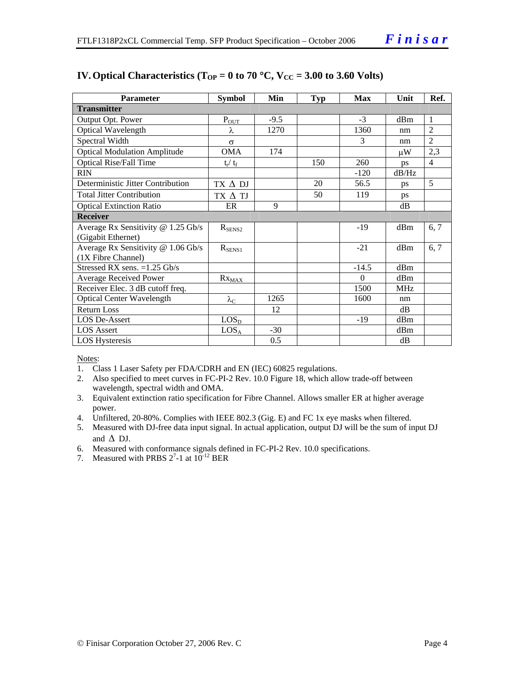| <b>Parameter</b>                    | <b>Symbol</b>          | Min    | Typ | <b>Max</b> | Unit       | Ref.           |
|-------------------------------------|------------------------|--------|-----|------------|------------|----------------|
| <b>Transmitter</b>                  |                        |        |     |            |            |                |
| Output Opt. Power                   | $P_{OUT}$              | $-9.5$ |     | $-3$       | dBm        | $\overline{1}$ |
| Optical Wavelength                  | λ                      | 1270   |     | 1360       | nm         | $\mathfrak{D}$ |
| Spectral Width                      | $\sigma$               |        |     | 3          | nm         | $\overline{2}$ |
| <b>Optical Modulation Amplitude</b> | OMA                    | 174    |     |            | μW         | 2,3            |
| <b>Optical Rise/Fall Time</b>       | $t_r / t_f$            |        | 150 | 260        | ps         | $\overline{4}$ |
| <b>RIN</b>                          |                        |        |     | $-120$     | dB/Hz      |                |
| Deterministic Jitter Contribution   | $TX \Delta DI$         |        | 20  | 56.5       | ps         | 5              |
| <b>Total Jitter Contribution</b>    | TX A TJ                |        | 50  | 119        | ps         |                |
| <b>Optical Extinction Ratio</b>     | ER                     | 9      |     |            | dB         |                |
| <b>Receiver</b>                     |                        |        |     |            |            |                |
| Average Rx Sensitivity @ 1.25 Gb/s  | $R_{\text{SENS2}}$     |        |     | $-19$      | dBm        | 6, 7           |
| (Gigabit Ethernet)                  |                        |        |     |            |            |                |
| Average Rx Sensitivity @ 1.06 Gb/s  | $R_{SENS1}$            |        |     | $-21$      | dBm        | 6, 7           |
| (1X Fibre Channel)                  |                        |        |     |            |            |                |
| Stressed RX sens. $=1.25$ Gb/s      |                        |        |     | $-14.5$    | dBm        |                |
| Average Received Power              | $Rx_{\underline{MAX}}$ |        |     | $\Omega$   | dBm        |                |
| Receiver Elec. 3 dB cutoff freq.    |                        |        |     | 1500       | <b>MHz</b> |                |
| <b>Optical Center Wavelength</b>    | $\lambda_{\rm C}$      | 1265   |     | 1600       | nm         |                |
| <b>Return Loss</b>                  |                        | 12     |     |            | dB         |                |
| <b>LOS De-Assert</b>                | LOS <sub>D</sub>       |        |     | $-19$      | dBm        |                |
| <b>LOS</b> Assert                   | LOS <sub>A</sub>       | $-30$  |     |            | dBm        |                |
| <b>LOS Hysteresis</b>               |                        | 0.5    |     |            | dB         |                |

#### **IV. Optical Characteristics (T<sub>OP</sub> = 0 to 70 °C, V<sub>CC</sub> = 3.00 to 3.60 Volts)**

Notes:

- 1. Class 1 Laser Safety per FDA/CDRH and EN (IEC) 60825 regulations.
- 2. Also specified to meet curves in FC-PI-2 Rev. 10.0 Figure 18, which allow trade-off between wavelength, spectral width and OMA.
- 3. Equivalent extinction ratio specification for Fibre Channel. Allows smaller ER at higher average power.
- 4. Unfiltered, 20-80%. Complies with IEEE 802.3 (Gig. E) and FC 1x eye masks when filtered.
- 5. Measured with DJ-free data input signal. In actual application, output DJ will be the sum of input DJ and  $\Delta$  DJ.
- 6. Measured with conformance signals defined in FC-PI-2 Rev. 10.0 specifications.
- 7. Measured with PRBS  $2^7$ -1 at  $10^{-12}$  BER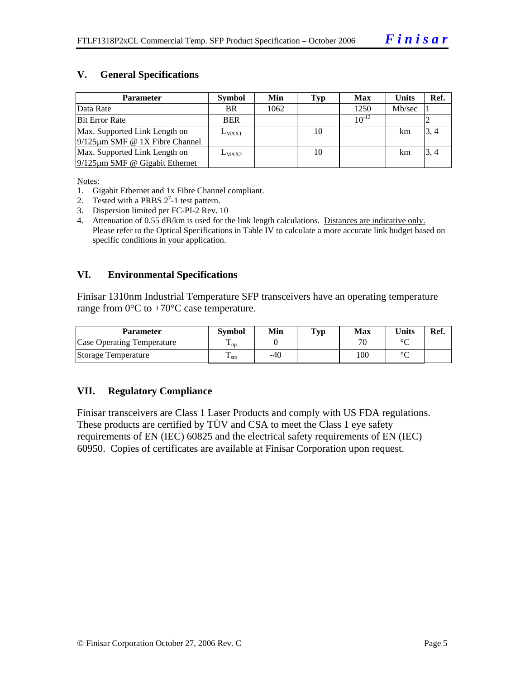#### **V. General Specifications**

| <b>Parameter</b>                     | <b>Symbol</b> | Min  | Typ | <b>Max</b> | <b>Units</b> | Ref. |
|--------------------------------------|---------------|------|-----|------------|--------------|------|
| Data Rate                            | <b>BR</b>     | 1062 |     | 1250       | Mb/sec       |      |
| <b>Bit Error Rate</b>                | <b>BER</b>    |      |     | $10^{-12}$ |              |      |
| Max. Supported Link Length on        | $L_{MAX1}$    |      | 10  |            | km           | 3, 4 |
| $9/125 \mu m$ SMF @ 1X Fibre Channel |               |      |     |            |              |      |
| Max. Supported Link Length on        | $L_{MAX2}$    |      | 10  |            | km           | 3, 4 |
| $9/125 \mu m$ SMF @ Gigabit Ethernet |               |      |     |            |              |      |

Notes:

- 1. Gigabit Ethernet and 1x Fibre Channel compliant.
- 2. Tested with a PRBS  $2^7$ -1 test pattern.
- 3. Dispersion limited per FC-PI-2 Rev. 10
- 4. Attenuation of 0.55 dB/km is used for the link length calculations. Distances are indicative only. Please refer to the Optical Specifications in Table IV to calculate a more accurate link budget based on specific conditions in your application.

#### **VI. Environmental Specifications**

Finisar 1310nm Industrial Temperature SFP transceivers have an operating temperature range from  $0^{\circ}$ C to +70 $^{\circ}$ C case temperature.

| Parameter                         | <b>Symbol</b>          | Min | $\mathbf{T}_{\mathbf{V}\mathbf{p}}$ | Max | Units   | Ref. |
|-----------------------------------|------------------------|-----|-------------------------------------|-----|---------|------|
| <b>Case Operating Temperature</b> | Ē<br>$\mathbf{L}_{OD}$ |     |                                     | 70  | $\circ$ |      |
| Storage Temperature               | ᠇᠇<br>$\pm$ sto        | -40 |                                     | 100 | $\sim$  |      |

#### **VII. Regulatory Compliance**

Finisar transceivers are Class 1 Laser Products and comply with US FDA regulations. These products are certified by TÜV and CSA to meet the Class 1 eye safety requirements of EN (IEC) 60825 and the electrical safety requirements of EN (IEC) 60950. Copies of certificates are available at Finisar Corporation upon request.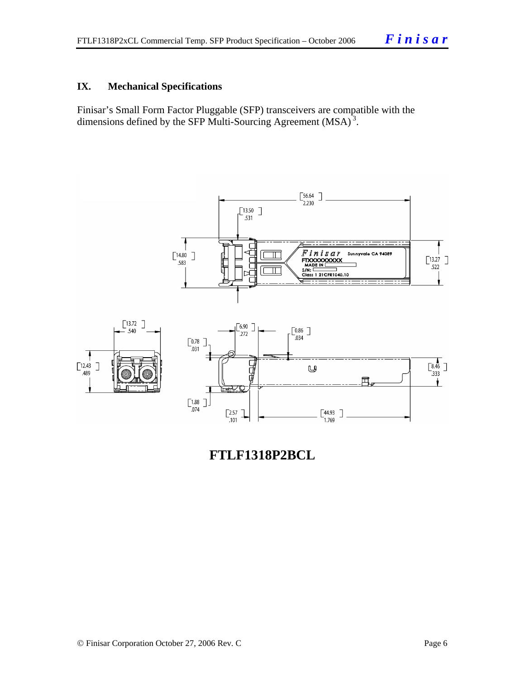#### **IX. Mechanical Specifications**

Finisar's Small Form Factor Pluggable (SFP) transceivers are compatible with the dimensions defined by the SFP Multi-Sourcing Agreement (MSA)<sup>3</sup>.



**FTLF1318P2BCL**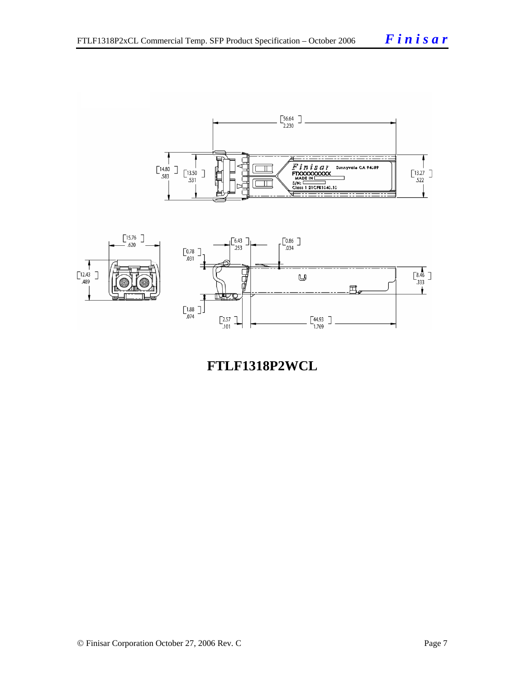

**FTLF1318P2WCL**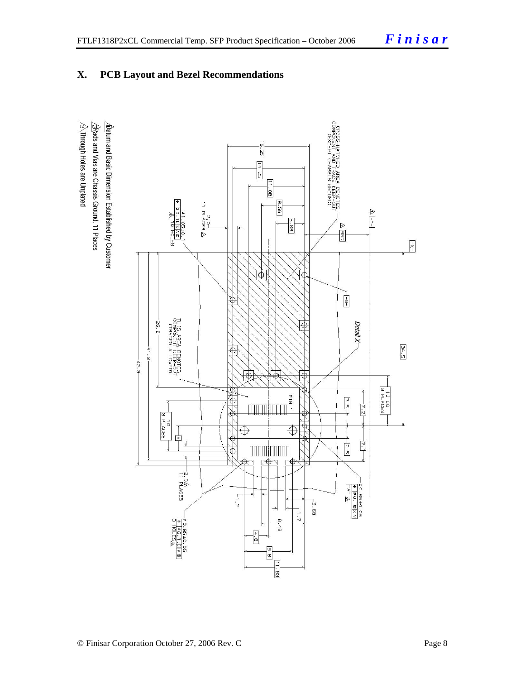### **X. PCB Layout and Bezel Recommendations**

 $\hat{\triangle}$ Through Holes are Unplated  $\sqrt{\mathbf{b}}$ atum and Basic Dimension Established by Customer  $\sqrt{2}$ Rads and Vias are Chassis Ground, 11 Places

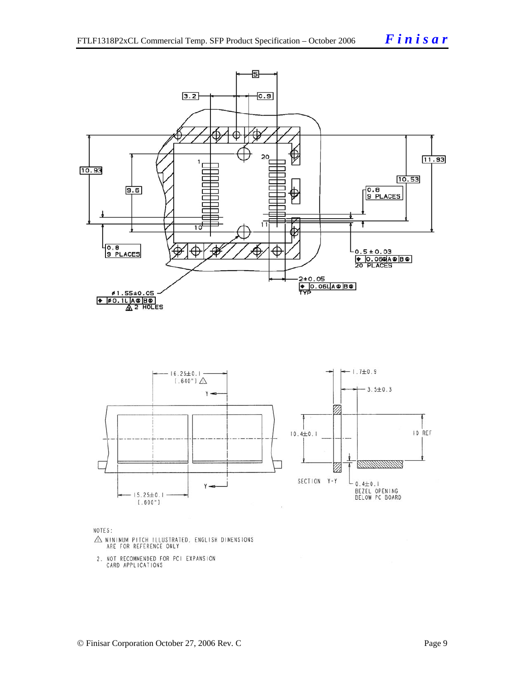



NOTES:

- $\triangle$  MINIMUM PITCH ILLUSTRATED, ENGLISH DIMENSIONS ARE FOR REFERENCE ONLY
- 2. NOT RECOMMENDED FOR PCI EXPANSION<br>CARD APPLICATIONS